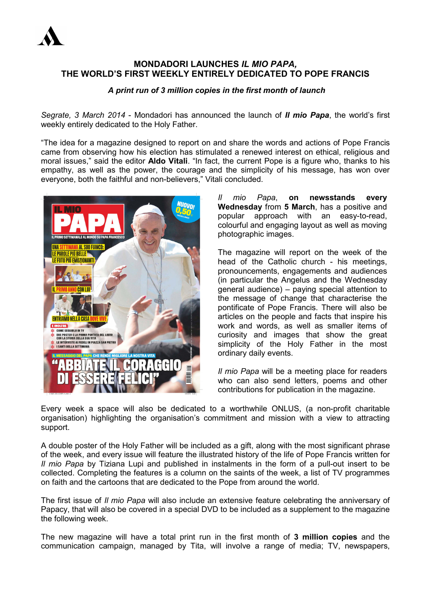

## **MONDADORI LAUNCHES** *IL MIO PAPA,* **THE WORLD'S FIRST WEEKLY ENTIRELY DEDICATED TO POPE FRANCIS**

## *A print run of 3 million copies in the first month of launch*

*Segrate, 3 March 2014* - Mondadori has announced the launch of *Il mio Papa*, the world's first weekly entirely dedicated to the Holy Father.

"The idea for a magazine designed to report on and share the words and actions of Pope Francis came from observing how his election has stimulated a renewed interest on ethical, religious and moral issues," said the editor **Aldo Vitali**. "In fact, the current Pope is a figure who, thanks to his empathy, as well as the power, the courage and the simplicity of his message, has won over everyone, both the faithful and non-believers," Vitali concluded.



*Il mio Papa*, **on newsstands every Wednesday** from **5 March**, has a positive and popular approach with an easy-to-read, colourful and engaging layout as well as moving photographic images.

The magazine will report on the week of the head of the Catholic church - his meetings, pronouncements, engagements and audiences (in particular the Angelus and the Wednesday general audience) – paying special attention to the message of change that characterise the pontificate of Pope Francis. There will also be articles on the people and facts that inspire his work and words, as well as smaller items of curiosity and images that show the great simplicity of the Holy Father in the most ordinary daily events.

*Il mio Papa* will be a meeting place for readers who can also send letters, poems and other contributions for publication in the magazine.

Every week a space will also be dedicated to a worthwhile ONLUS, (a non-profit charitable organisation) highlighting the organisation's commitment and mission with a view to attracting support.

A double poster of the Holy Father will be included as a gift, along with the most significant phrase of the week, and every issue will feature the illustrated history of the life of Pope Francis written for *Il mio Papa* by Tiziana Lupi and published in instalments in the form of a pull-out insert to be collected. Completing the features is a column on the saints of the week, a list of TV programmes on faith and the cartoons that are dedicated to the Pope from around the world.

The first issue of *Il mio Papa* will also include an extensive feature celebrating the anniversary of Papacy, that will also be covered in a special DVD to be included as a supplement to the magazine the following week.

The new magazine will have a total print run in the first month of **3 million copies** and the communication campaign, managed by Tita, will involve a range of media; TV, newspapers,